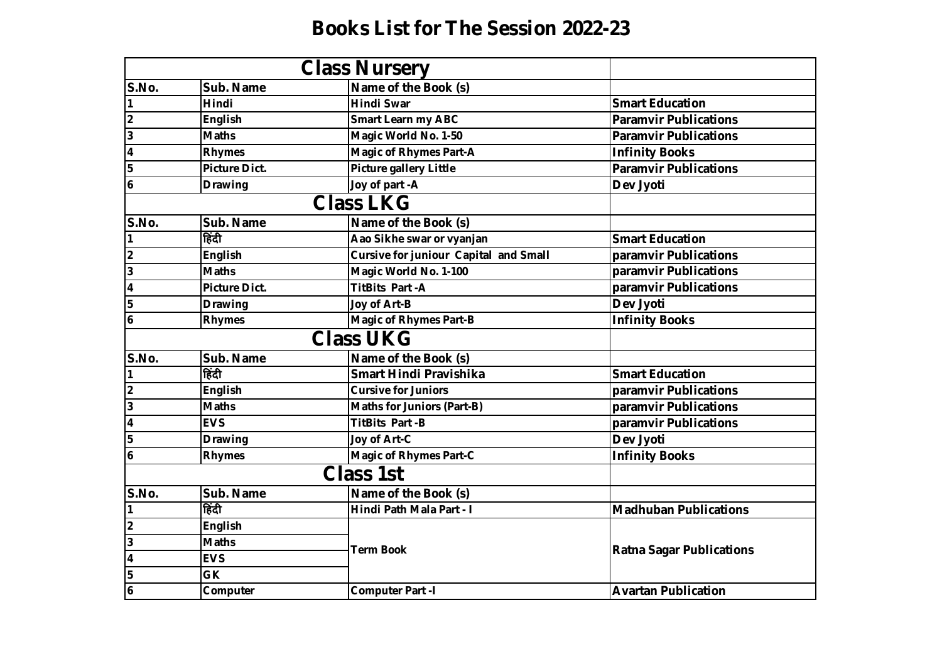## **Books List for The Session 2022-23**

|                         | <b>Class Nursery</b> |                                              |                                 |
|-------------------------|----------------------|----------------------------------------------|---------------------------------|
| S.No.                   | Sub. Name            | Name of the Book (s)                         |                                 |
| 1                       | <b>Hindi</b>         | <b>Hindi Swar</b>                            | <b>Smart Education</b>          |
| $\overline{\mathbf{2}}$ | <b>English</b>       | <b>Smart Learn my ABC</b>                    | <b>Paramvir Publications</b>    |
| $\overline{3}$          | <b>Maths</b>         | Magic World No. 1-50                         | <b>Paramvir Publications</b>    |
| $\overline{4}$          | <b>Rhymes</b>        | <b>Magic of Rhymes Part-A</b>                | <b>Infinity Books</b>           |
| 5                       | <b>Picture Dict.</b> | <b>Picture gallery Little</b>                | <b>Paramvir Publications</b>    |
| 6                       | <b>Drawing</b>       | Joy of part -A                               | Dev Jyoti                       |
|                         |                      |                                              |                                 |
| S.No.                   | Sub. Name            | Name of the Book (s)                         |                                 |
| $\mathbf{1}$            | हिंदी                | Aao Sikhe swar or vyanjan                    | <b>Smart Education</b>          |
| $\overline{\mathbf{2}}$ | <b>English</b>       | <b>Cursive for juniour Capital and Small</b> | paramvir Publications           |
| $\overline{\mathbf{3}}$ | <b>Maths</b>         | Magic World No. 1-100                        | paramvir Publications           |
| $\overline{\mathbf{4}}$ | <b>Picture Dict.</b> | <b>TitBits Part-A</b>                        | paramvir Publications           |
| 5                       | <b>Drawing</b>       | Joy of Art-B                                 | Dev Jyoti                       |
| $\boldsymbol{6}$        | <b>Rhymes</b>        | <b>Magic of Rhymes Part-B</b>                | <b>Infinity Books</b>           |
|                         |                      |                                              |                                 |
| S.No.                   | Sub. Name            | Name of the Book (s)                         |                                 |
| 1                       | हिंदी                | Smart Hindi Pravishika                       | <b>Smart Education</b>          |
| $\overline{2}$          | <b>English</b>       | <b>Cursive for Juniors</b>                   | paramvir Publications           |
| $\overline{\mathbf{3}}$ | <b>Maths</b>         | <b>Maths for Juniors (Part-B)</b>            | paramvir Publications           |
| $\overline{\mathbf{4}}$ | <b>EVS</b>           | <b>TitBits Part-B</b>                        | paramvir Publications           |
| 5                       | <b>Drawing</b>       | Joy of Art-C                                 | Dev Jyoti                       |
| 16                      | <b>Rhymes</b>        | <b>Magic of Rhymes Part-C</b>                | <b>Infinity Books</b>           |
|                         |                      |                                              |                                 |
| S.No.                   | Sub. Name            | Name of the Book (s)                         |                                 |
| $\mathbf{1}$            | हिंदी                | Hindi Path Mala Part - I                     | <b>Madhuban Publications</b>    |
| $\overline{\mathbf{2}}$ | <b>English</b>       |                                              | <b>Ratna Sagar Publications</b> |
| $\overline{\mathbf{3}}$ | <b>Maths</b>         |                                              |                                 |
| $\overline{4}$          | <b>EVS</b>           | <b>Term Book</b>                             |                                 |
| 5                       | GK                   |                                              |                                 |
| $\overline{6}$          | Computer             | <b>Computer Part -I</b>                      | <b>Avartan Publication</b>      |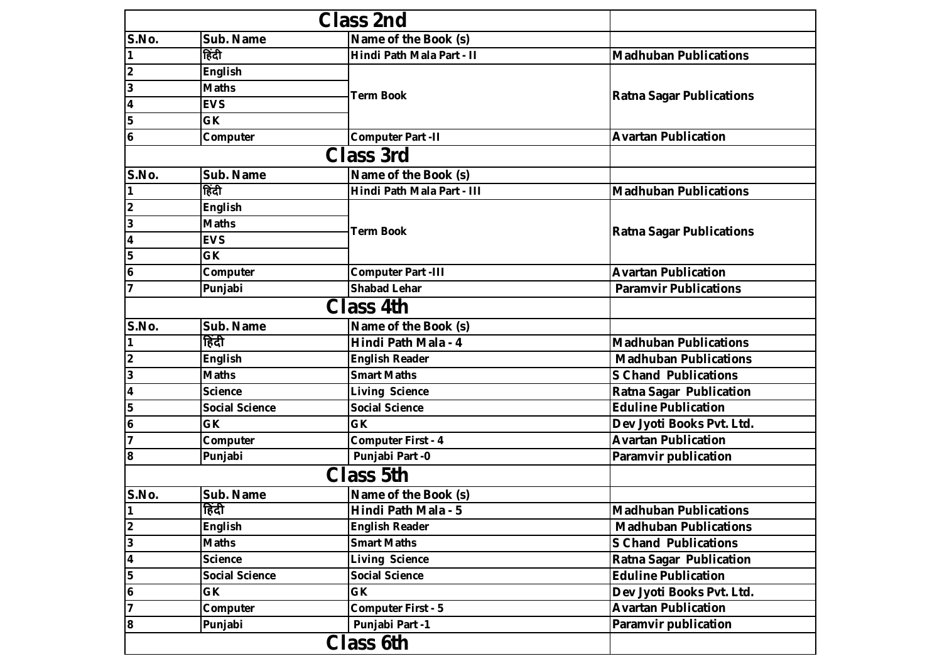| S.No.                   | Sub. Name             | Name of the Book (s)       |                                 |
|-------------------------|-----------------------|----------------------------|---------------------------------|
|                         | हिंदी                 | Hindi Path Mala Part - II  | <b>Madhuban Publications</b>    |
| 2                       | <b>English</b>        |                            | <b>Ratna Sagar Publications</b> |
| 3                       | <b>Maths</b>          | <b>Term Book</b>           |                                 |
| $\overline{\mathbf{4}}$ | <b>EVS</b>            |                            |                                 |
| 5                       | <b>GK</b>             |                            |                                 |
| 6                       | Computer              | <b>Computer Part -II</b>   | <b>Avartan Publication</b>      |
|                         |                       |                            |                                 |
| S.No.                   | Sub. Name             | Name of the Book (s)       |                                 |
|                         | हिंदी                 | Hindi Path Mala Part - III | <b>Madhuban Publications</b>    |
| 2                       | <b>English</b>        |                            | <b>Ratna Sagar Publications</b> |
| 3                       | <b>Maths</b>          | <b>Term Book</b>           |                                 |
| 4                       | <b>EVS</b>            |                            |                                 |
| 5                       | <b>GK</b>             |                            |                                 |
| $\overline{\mathbf{6}}$ | Computer              | <b>Computer Part -III</b>  | <b>Avartan Publication</b>      |
|                         | Punjabi               | <b>Shabad Lehar</b>        | <b>Paramvir Publications</b>    |
|                         |                       | <b>Class 4th</b>           |                                 |
| S.No.                   | Sub. Name             | Name of the Book (s)       |                                 |
|                         | हिंदी                 | Hindi Path Mala - 4        | <b>Madhuban Publications</b>    |
| $\overline{\mathbf{2}}$ | <b>English</b>        | <b>English Reader</b>      | <b>Madhuban Publications</b>    |
| 3                       | <b>Maths</b>          | <b>Smart Maths</b>         | <b>S Chand Publications</b>     |
| $\overline{\mathbf{4}}$ | <b>Science</b>        | <b>Living Science</b>      | <b>Ratna Sagar Publication</b>  |
| 5                       | <b>Social Science</b> | <b>Social Science</b>      | <b>Eduline Publication</b>      |
| 6                       | <b>GK</b>             | <b>GK</b>                  | Dev Jyoti Books Pvt. Ltd.       |
| $\overline{7}$          | Computer              | <b>Computer First - 4</b>  | <b>Avartan Publication</b>      |
| 8                       | Punjabi               | Punjabi Part -0            | Paramvir publication            |
|                         |                       | <b>Class 5th</b>           |                                 |
| S.No.                   | Sub. Name             | Name of the Book (s)       |                                 |
|                         | हिंदी                 | Hindi Path Mala - 5        | <b>Madhuban Publications</b>    |
| 2                       | <b>English</b>        | <b>English Reader</b>      | <b>Madhuban Publications</b>    |
| 3                       | <b>Maths</b>          | <b>Smart Maths</b>         | <b>S Chand Publications</b>     |
| 4                       | <b>Science</b>        | <b>Living Science</b>      | Ratna Sagar Publication         |
| 5                       | <b>Social Science</b> | <b>Social Science</b>      | <b>Eduline Publication</b>      |
| $\boldsymbol{6}$        | GK                    | GK                         | Dev Jyoti Books Pvt. Ltd.       |
| 7                       | Computer              | <b>Computer First - 5</b>  | <b>Avartan Publication</b>      |
| 8                       | Punjabi               | Punjabi Part -1            | Paramvir publication            |
|                         |                       |                            |                                 |